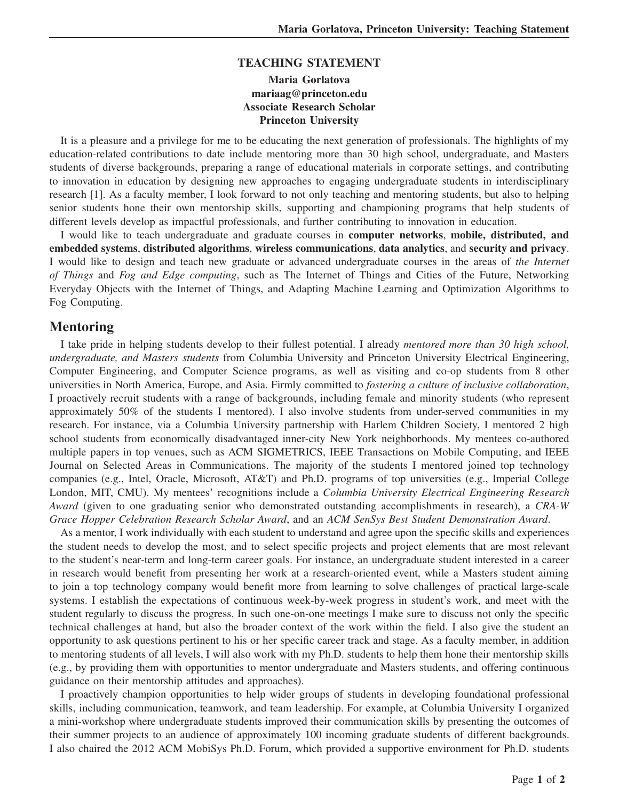#### **TEACHING STATEMENT**

## **Maria Gorlatova mariaag@princeton.edu Associate Research Scholar Princeton University**

It is a pleasure and a privilege for me to be educating the next generation of professionals. The highlights of my education-related contributions to date include mentoring more than 30 high school, undergraduate, and Masters students of diverse backgrounds, preparing a range of educational materials in corporate settings, and contributing to innovation in education by designing new approaches to engaging undergraduate students in interdisciplinary research [1]. As a faculty member, I look forward to not only teaching and mentoring students, but also to helping senior students hone their own mentorship skills, supporting and championing programs that help students of different levels develop as impactful professionals, and further contributing to innovation in education.

I would like to teach undergraduate and graduate courses in **computer networks**, **mobile, distributed, and embedded systems**, **distributed algorithms**, **wireless communications**, **data analytics**, and **security and privacy**. I would like to design and teach new graduate or advanced undergraduate courses in the areas of *the Internet of Things* and *Fog and Edge computing*, such as The Internet of Things and Cities of the Future, Networking Everyday Objects with the Internet of Things, and Adapting Machine Learning and Optimization Algorithms to Fog Computing.

# **Mentoring**

I take pride in helping students develop to their fullest potential. I already *mentored more than 30 high school, undergraduate, and Masters students* from Columbia University and Princeton University Electrical Engineering, Computer Engineering, and Computer Science programs, as well as visiting and co-op students from 8 other universities in North America, Europe, and Asia. Firmly committed to *fostering a culture of inclusive collaboration*, I proactively recruit students with a range of backgrounds, including female and minority students (who represent approximately 50% of the students I mentored). I also involve students from under-served communities in my research. For instance, via a Columbia University partnership with Harlem Children Society, I mentored 2 high school students from economically disadvantaged inner-city New York neighborhoods. My mentees co-authored multiple papers in top venues, such as ACM SIGMETRICS, IEEE Transactions on Mobile Computing, and IEEE Journal on Selected Areas in Communications. The majority of the students I mentored joined top technology companies (e.g., Intel, Oracle, Microsoft, AT&T) and Ph.D. programs of top universities (e.g., Imperial College London, MIT, CMU). My mentees' recognitions include a *Columbia University Electrical Engineering Research Award* (given to one graduating senior who demonstrated outstanding accomplishments in research), a *CRA-W Grace Hopper Celebration Research Scholar Award*, and an *ACM SenSys Best Student Demonstration Award*.

As a mentor, I work individually with each student to understand and agree upon the specific skills and experiences the student needs to develop the most, and to select specific projects and project elements that are most relevant to the student's near-term and long-term career goals. For instance, an undergraduate student interested in a career in research would benefit from presenting her work at a research-oriented event, while a Masters student aiming to join a top technology company would benefit more from learning to solve challenges of practical large-scale systems. I establish the expectations of continuous week-by-week progress in student's work, and meet with the student regularly to discuss the progress. In such one-on-one meetings I make sure to discuss not only the specific technical challenges at hand, but also the broader context of the work within the field. I also give the student an opportunity to ask questions pertinent to his or her specific career track and stage. As a faculty member, in addition to mentoring students of all levels, I will also work with my Ph.D. students to help them hone their mentorship skills (e.g., by providing them with opportunities to mentor undergraduate and Masters students, and offering continuous guidance on their mentorship attitudes and approaches).

I proactively champion opportunities to help wider groups of students in developing foundational professional skills, including communication, teamwork, and team leadership. For example, at Columbia University I organized a mini-workshop where undergraduate students improved their communication skills by presenting the outcomes of their summer projects to an audience of approximately 100 incoming graduate students of different backgrounds. I also chaired the 2012 ACM MobiSys Ph.D. Forum, which provided a supportive environment for Ph.D. students